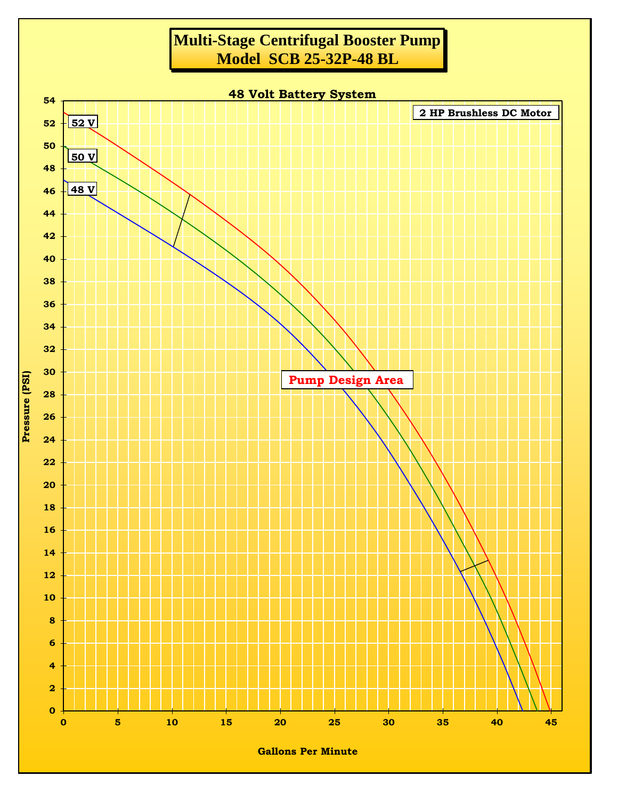